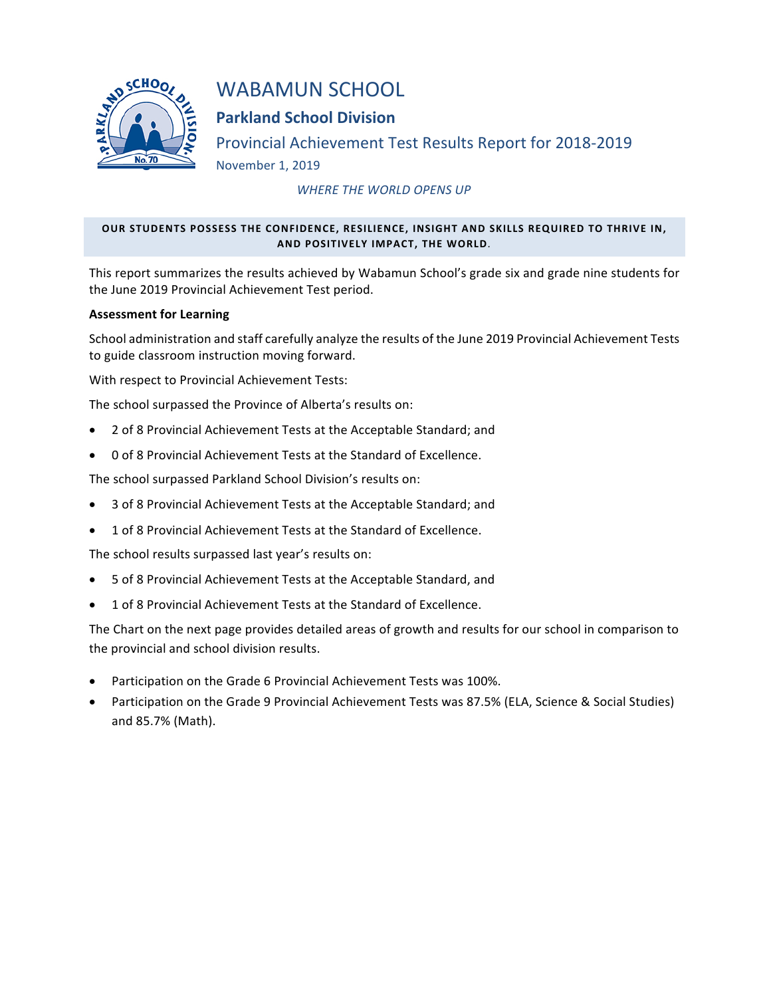

# WABAMUN SCHOOL

## **Parkland School Division**

Provincial Achievement Test Results Report for 2018-2019 November 1, 2019

*WHERE THE WORLD OPENS UP* 

### OUR STUDENTS POSSESS THE CONFIDENCE, RESILIENCE, INSIGHT AND SKILLS REQUIRED TO THRIVE IN, **AND POSITIVELY IMPACT, THE WORLD.**

This report summarizes the results achieved by Wabamun School's grade six and grade nine students for the June 2019 Provincial Achievement Test period.

#### **Assessment for Learning**

School administration and staff carefully analyze the results of the June 2019 Provincial Achievement Tests to guide classroom instruction moving forward.

With respect to Provincial Achievement Tests:

The school surpassed the Province of Alberta's results on:

- 2 of 8 Provincial Achievement Tests at the Acceptable Standard; and
- 0 of 8 Provincial Achievement Tests at the Standard of Excellence.

The school surpassed Parkland School Division's results on:

- 3 of 8 Provincial Achievement Tests at the Acceptable Standard; and
- 1 of 8 Provincial Achievement Tests at the Standard of Excellence.

The school results surpassed last year's results on:

- 5 of 8 Provincial Achievement Tests at the Acceptable Standard, and
- 1 of 8 Provincial Achievement Tests at the Standard of Excellence.

The Chart on the next page provides detailed areas of growth and results for our school in comparison to the provincial and school division results.

- Participation on the Grade 6 Provincial Achievement Tests was 100%.
- Participation on the Grade 9 Provincial Achievement Tests was 87.5% (ELA, Science & Social Studies) and 85.7% (Math).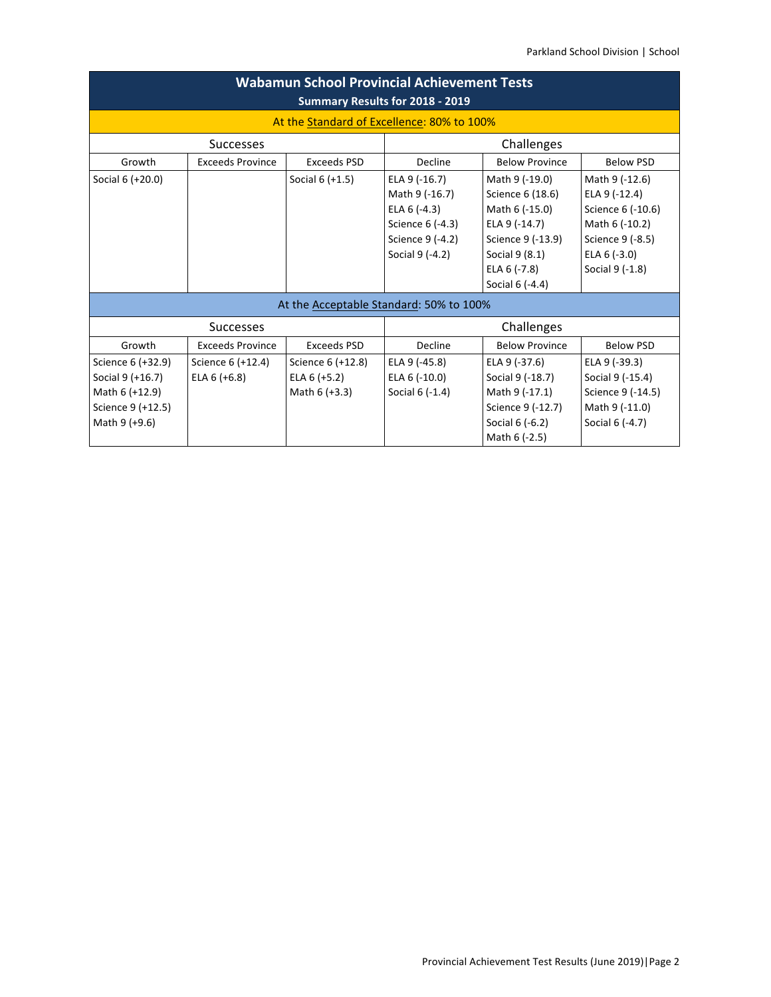|                   |                         | <b>Wabamun School Provincial Achievement Tests</b> | Summary Results for 2018 - 2019 |                       |                   |
|-------------------|-------------------------|----------------------------------------------------|---------------------------------|-----------------------|-------------------|
|                   |                         | At the Standard of Excellence: 80% to 100%         |                                 |                       |                   |
|                   | <b>Successes</b>        |                                                    |                                 | Challenges            |                   |
| Growth            | <b>Exceeds Province</b> | Exceeds PSD                                        | Decline                         | <b>Below Province</b> | <b>Below PSD</b>  |
| Social 6 (+20.0)  |                         | Social $6 (+1.5)$                                  | ELA 9 (-16.7)                   | Math 9 (-19.0)        | Math 9 (-12.6)    |
|                   |                         |                                                    | Math 9 (-16.7)                  | Science 6 (18.6)      | ELA 9 (-12.4)     |
|                   |                         |                                                    | ELA $6$ (-4.3)                  | Math 6 (-15.0)        | Science 6 (-10.6) |
|                   |                         |                                                    | Science 6 (-4.3)                | ELA 9 (-14.7)         | Math 6 (-10.2)    |
|                   |                         |                                                    | Science 9 (-4.2)                | Science 9 (-13.9)     | Science 9 (-8.5)  |
|                   |                         |                                                    | Social 9 (-4.2)                 | Social 9 (8.1)        | ELA $6$ (-3.0)    |
|                   |                         |                                                    |                                 | ELA 6 (-7.8)          | Social 9 (-1.8)   |
|                   |                         |                                                    |                                 | Social 6 (-4.4)       |                   |
|                   |                         | At the Acceptable Standard: 50% to 100%            |                                 |                       |                   |
|                   | <b>Successes</b>        |                                                    |                                 | Challenges            |                   |
| Growth            | <b>Exceeds Province</b> | Exceeds PSD                                        | Decline                         | <b>Below Province</b> | <b>Below PSD</b>  |
| Science 6 (+32.9) | Science 6 (+12.4)       | Science 6 (+12.8)                                  | ELA 9 (-45.8)                   | ELA 9 (-37.6)         | ELA 9 (-39.3)     |
| Social 9 (+16.7)  | ELA $6 (+6.8)$          | ELA $6 (+5.2)$                                     | ELA 6 (-10.0)                   | Social 9 (-18.7)      | Social 9 (-15.4)  |
| Math 6 (+12.9)    |                         | Math 6 (+3.3)                                      | Social 6 (-1.4)                 | Math 9 (-17.1)        | Science 9 (-14.5) |
| Science 9 (+12.5) |                         |                                                    |                                 | Science 9 (-12.7)     | Math 9 (-11.0)    |
| Math 9 (+9.6)     |                         |                                                    |                                 | Social 6 (-6.2)       | Social 6 (-4.7)   |
|                   |                         |                                                    |                                 | Math 6 (-2.5)         |                   |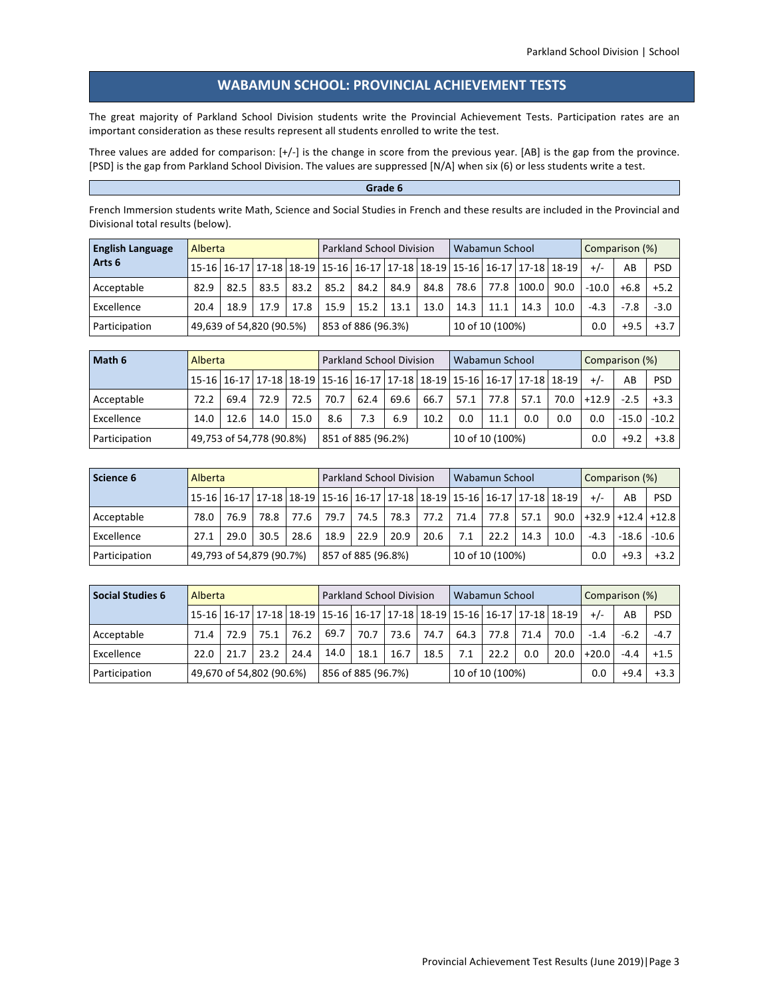#### WABAMUN SCHOOL: PROVINCIAL ACHIEVEMENT TESTS

The great majority of Parkland School Division students write the Provincial Achievement Tests. Participation rates are an important consideration as these results represent all students enrolled to write the test.

Three values are added for comparison:  $[+/]$  is the change in score from the previous year. [AB] is the gap from the province. [PSD] is the gap from Parkland School Division. The values are suppressed [N/A] when six (6) or less students write a test.

#### Grade 6

French Immersion students write Math, Science and Social Studies in French and these results are included in the Provincial and Divisional total results (below).

| <b>English Language</b> | Alberta                  |      |      |      |      | <b>Parkland School Division</b> |      |      |                 | Wabamun School |       |                                                                         |         | Comparison (%) |            |
|-------------------------|--------------------------|------|------|------|------|---------------------------------|------|------|-----------------|----------------|-------|-------------------------------------------------------------------------|---------|----------------|------------|
| Arts <sub>6</sub>       |                          |      |      |      |      |                                 |      |      |                 |                |       | 15-16 16-17 17-18 18-19 15-16 16-17 17-18 18-19 15-16 16-17 17-18 18-19 | $+/-$   | AB             | <b>PSD</b> |
| Acceptable              | 82.9                     | 82.5 | 83.5 | 83.2 | 85.2 | 84.2                            | 84.9 | 84.8 | 78.6            | 77.8           | 100.0 | 90.0                                                                    | $-10.0$ | $+6.8$         | $+5.2$     |
| Excellence              | 20.4                     | 18.9 | 17.9 | 17.8 | 15.9 | 15.2                            | 13.1 | 13.0 | 14.3            | 11.1           | 14.3  | 10.0                                                                    | $-4.3$  | $-7.8$         | $-3.0$     |
| Participation           | 49,639 of 54,820 (90.5%) |      |      |      |      | 853 of 886 (96.3%)              |      |      | 10 of 10 (100%) |                |       |                                                                         | 0.0     | $+9.5$         | $+3.7$     |

| Math 6        | Alberta                  |      |      |      |                              | <b>Parkland School Division</b>                                         |     |      | Wabamun School |                 |      |      | Comparison (%) |         |            |
|---------------|--------------------------|------|------|------|------------------------------|-------------------------------------------------------------------------|-----|------|----------------|-----------------|------|------|----------------|---------|------------|
|               |                          |      |      |      |                              | 15-16 16-17 17-18 18-19 15-16 16-17 17-18 18-19 15-16 16-17 17-18 18-19 |     |      |                |                 |      |      | $+/-$          | AB      | <b>PSD</b> |
| Acceptable    | 72.2                     | 69.4 | 72.9 | 72.5 | 70.7<br>69.6<br>62.4<br>66.7 |                                                                         |     |      | 57.1           | 77.8            | 57.1 | 70.0 | $+12.9$        | $-2.5$  | $+3.3$     |
| Excellence    | 14.0                     | 12.6 | 14.0 | 15.0 | 8.6                          | 7.3                                                                     | 6.9 | 10.2 | 0.0            | 11.1            | 0.0  | 0.0  | 0.0            | $-15.0$ | $-10.2$    |
| Participation | 49,753 of 54,778 (90.8%) |      |      |      |                              | 851 of 885 (96.2%)                                                      |     |      |                | 10 of 10 (100%) |      |      | 0.0            | $+9.2$  | $+3.8$     |

| Science 6     | Alberta                  |      |      |        |                    | <b>Parkland School Division</b> |      |      | Wabamun School  |      |      |                                                                         |        | Comparison (%) |                          |
|---------------|--------------------------|------|------|--------|--------------------|---------------------------------|------|------|-----------------|------|------|-------------------------------------------------------------------------|--------|----------------|--------------------------|
|               |                          |      |      |        |                    |                                 |      |      |                 |      |      | 15-16 16-17 17-18 18-19 15-16 16-17 17-18 18-19 15-16 16-17 17-18 18-19 | $+/-$  | AB             | <b>PSD</b>               |
| Acceptable    | 78.0                     | 76.9 | 78.8 | 77.6 l | 79.7 I             | 74.5                            | 78.3 | 77.2 | 71.4            | 77.8 | 57.1 |                                                                         |        |                | $90.0$ +32.9 +12.4 +12.8 |
| Excellence    | 27.1                     | 29.0 | 30.5 | 28.6   | 18.9               | 22.9                            | 20.9 | 20.6 | 7.1             | 22.2 | 14.3 | 10.0                                                                    | $-4.3$ | $-18.6$        | $-10.6$                  |
| Participation | 49,793 of 54,879 (90.7%) |      |      |        | 857 of 885 (96.8%) |                                 |      |      | 10 of 10 (100%) |      |      |                                                                         | 0.0    | $+9.3$         | $+3.2$                   |

| <b>Social Studies 6</b> | Alberta                                                                                       |                          |      |      |      | <b>Parkland School Division</b> |      |      | Wabamun School |                 |      |      | Comparison (%) |        |            |
|-------------------------|-----------------------------------------------------------------------------------------------|--------------------------|------|------|------|---------------------------------|------|------|----------------|-----------------|------|------|----------------|--------|------------|
|                         | 15-16   16-17   17-18   18-19   15-16   16-17   17-18   18-19   15-16   16-17   17-18   18-19 |                          |      |      |      |                                 |      |      |                |                 |      |      | $+/-$          | AB     | <b>PSD</b> |
| Acceptable              | 71.4                                                                                          | 72.9                     | 75.1 | 76.2 | 69.7 | 70.7                            | 73.6 | 74.7 | 64.3           | 77.8            | 71.4 | 70.0 | $-1.4$         | $-6.2$ | $-4.7$     |
| Excellence              | 22.0                                                                                          | 21.7                     | 23.2 | 24.4 | 14.0 | 18.1                            | 16.7 | 18.5 | 7.1            | 22.2            | 0.0  | 20.0 | $+20.0$        | $-4.4$ | $+1.5$     |
| Participation           |                                                                                               | 49,670 of 54,802 (90.6%) |      |      |      | 856 of 885 (96.7%)              |      |      |                | 10 of 10 (100%) |      |      | 0.0            | $+9.4$ | $+3.3$     |